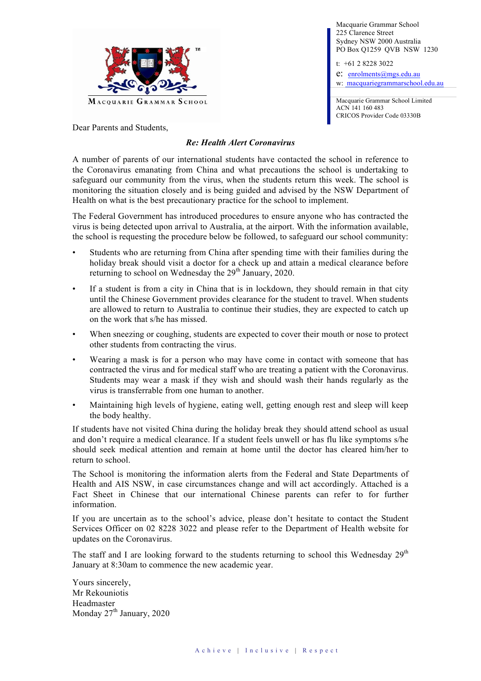

Dear Parents and Students,

#### *Re: Health Alert Coronavirus*

A number of parents of our international students have contacted the school in reference to the Coronavirus emanating from China and what precautions the school is undertaking to safeguard our community from the virus, when the students return this week. The school is monitoring the situation closely and is being guided and advised by the NSW Department of Health on what is the best precautionary practice for the school to implement.

The Federal Government has introduced procedures to ensure anyone who has contracted the virus is being detected upon arrival to Australia, at the airport. With the information available, the school is requesting the procedure below be followed, to safeguard our school community:

- Students who are returning from China after spending time with their families during the holiday break should visit a doctor for a check up and attain a medical clearance before returning to school on Wednesday the  $29<sup>th</sup>$  January, 2020.
- If a student is from a city in China that is in lockdown, they should remain in that city until the Chinese Government provides clearance for the student to travel. When students are allowed to return to Australia to continue their studies, they are expected to catch up on the work that s/he has missed.
- When sneezing or coughing, students are expected to cover their mouth or nose to protect other students from contracting the virus.
- Wearing a mask is for a person who may have come in contact with someone that has contracted the virus and for medical staff who are treating a patient with the Coronavirus. Students may wear a mask if they wish and should wash their hands regularly as the virus is transferrable from one human to another.
- Maintaining high levels of hygiene, eating well, getting enough rest and sleep will keep the body healthy.

If students have not visited China during the holiday break they should attend school as usual and don't require a medical clearance. If a student feels unwell or has flu like symptoms s/he should seek medical attention and remain at home until the doctor has cleared him/her to return to school.

The School is monitoring the information alerts from the Federal and State Departments of Health and AIS NSW, in case circumstances change and will act accordingly. Attached is a Fact Sheet in Chinese that our international Chinese parents can refer to for further information.

If you are uncertain as to the school's advice, please don't hesitate to contact the Student Services Officer on 02 8228 3022 and please refer to the Department of Health website for updates on the Coronavirus.

The staff and I are looking forward to the students returning to school this Wednesday  $29<sup>th</sup>$ January at 8:30am to commence the new academic year.

Yours sincerely, Mr Rekouniotis Headmaster Monday  $27<sup>th</sup>$  January, 2020

Macquarie Grammar School 225 Clarence Street Sydney NSW 2000 Australia PO Box Q1259 QVB NSW 1230

t: +61 2 8228 3022

e: enrolments@mgs.edu.au w: macquariegrammarschool.edu.au

• Macquarie Grammar School Limited ACN 141 160 483 CRICOS Provider Code 03330B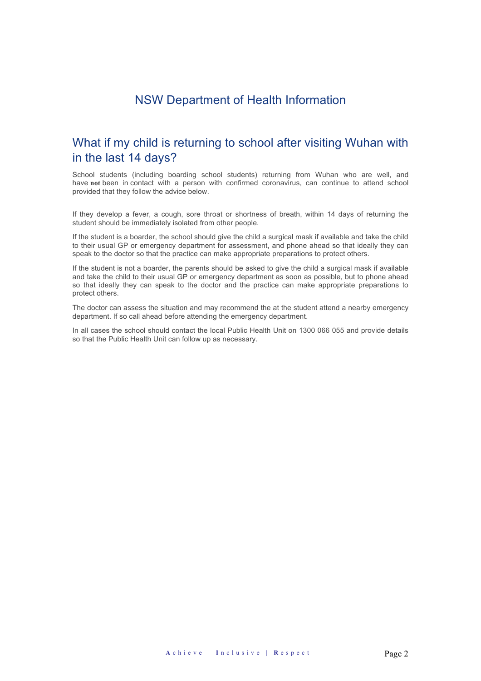## NSW Department of Health Information

## What if my child is returning to school after visiting Wuhan with in the last 14 days?

School students (including boarding school students) returning from Wuhan who are well, and have **not** been in contact with a person with confirmed coronavirus, can continue to attend school provided that they follow the advice below.

If they develop a fever, a cough, sore throat or shortness of breath, within 14 days of returning the student should be immediately isolated from other people.

If the student is a boarder, the school should give the child a surgical mask if available and take the child to their usual GP or emergency department for assessment, and phone ahead so that ideally they can speak to the doctor so that the practice can make appropriate preparations to protect others.

If the student is not a boarder, the parents should be asked to give the child a surgical mask if available and take the child to their usual GP or emergency department as soon as possible, but to phone ahead so that ideally they can speak to the doctor and the practice can make appropriate preparations to protect others.

The doctor can assess the situation and may recommend the at the student attend a nearby emergency department. If so call ahead before attending the emergency department.

In all cases the school should contact the local Public Health Unit on 1300 066 055 and provide details so that the Public Health Unit can follow up as necessary.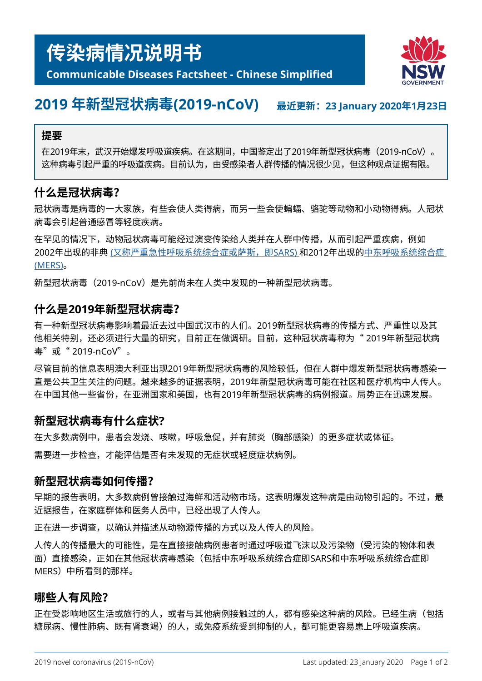

## **Communicable Diseases Factsheet - Chinese Simplified**

# **2019 年新型冠状病毒(2019-nCoV) 最近更新:23 January 2020年1月23<sup>日</sup>**

#### **提要**

在2019年末,武汉开始爆发呼吸道疾病。在这期间,中国鉴定出了2019年新型冠状病毒(2019-nCoV)。 这种病毒引起严重的呼吸道疾病。目前认为,由受感染者人群传播的情况很少见,但这种观点证据有限。

## **什么是冠状病毒?**

冠状病毒是病毒的一大家族,有些会使人类得病,而另一些会使蝙蝠、骆驼等动物和小动物得病。人冠状 病毒会引起普通感冒等轻度疾病。

在罕见的情况下,动物冠状病毒可能经过演变传染给人类并在人群中传播,从而引起严重疾病,例如 2002年出现的非典 ([又称严重急性呼吸系统综合症或萨斯,即](https://www.health.nsw.gov.au/Infectious/factsheets/Pages/SARS.aspx)SARS) 和2012年出现[的中东呼吸系统综合症](https://www.health.nsw.gov.au/Infectious/factsheets/Pages/MERS-coronavirus.aspx) [\(MERS\)](https://www.health.nsw.gov.au/Infectious/factsheets/Pages/MERS-coronavirus.aspx)。

新型冠状病毒 (2019-nCoV) 是先前尚未在人类中发现的一种新型冠状病毒。

### **什么是2019年新型冠状病毒?**

有一种新型冠状病毒影响着最近去过中国武汉市的人们。2019新型冠状病毒的传播方式、严重性以及其 他相关特别,还必须进行大量的研究,目前正在做调研。目前,这种冠状病毒称为" 2019年新型冠状病 毒"或"2019-nCoV"。

尽管目前的信息表明澳大利亚出现2019年新型冠状病毒的风险较低,但在人群中爆发新型冠状病毒感染一 直是公共卫生关注的问题。越来越多的证据表明,2019年新型冠状病毒可能在社区和医疗机构中人传人。 在中国其他一些省份,在亚洲国家和美国,也有2019年新型冠状病毒的病例报道。局势正在迅速发展。

## **新型冠状病毒有什么症状?**

在大多数病例中,患者会发烧、咳嗽,呼吸急促,并有肺炎(胸部感染)的更多症状或体征。 需要进一步检查,才能评估是否有未发现的无症状或轻度症状病例。

#### **新型冠状病毒如何传播?**

早期的报告表明,大多数病例曾接触过海鲜和活动物市场,这表明爆发这种病是由动物引起的。不过,最 近据报告,在家庭群体和医务人员中,已经出现了人传人。

正在进一步调查,以确认并描述从动物源传播的方式以及人传人的风险。

人传人的传播最大的可能性,是在直接接触病例患者时通过呼吸道飞沫以及污染物(受污染的物体和表 面)直接感染,正如在其他冠状病毒感染(包括中东呼吸系统综合症即SARS和中东呼吸系统综合症即 MERS)中所看到的那样。

## **哪些人有风险?**

正在受影响地区生活或旅行的人,或者与其他病例接触过的人,都有感染这种病的风险。已经生病(包括 糖尿病、慢性肺病、既有肾衰竭)的人,或免疫系统受到抑制的人,都可能更容易患上呼吸道疾病。